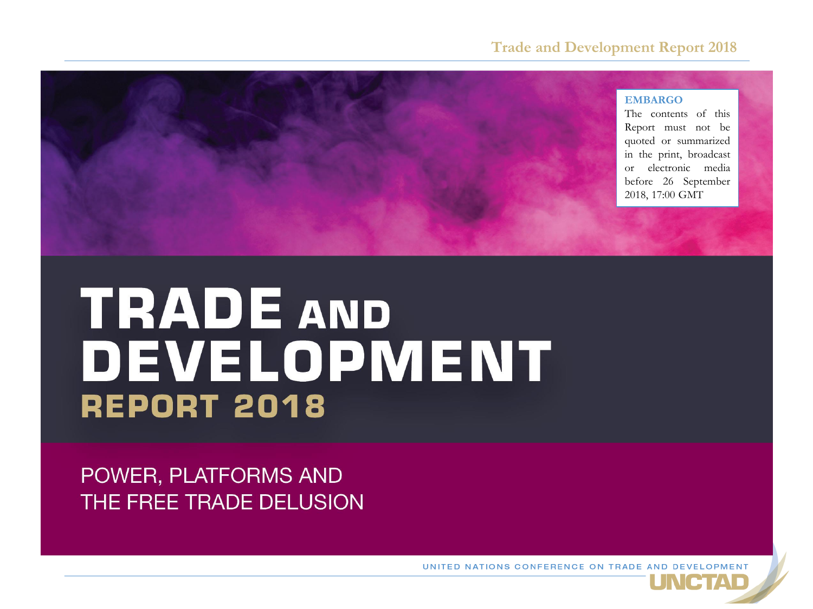#### **Trade and Development Report 2018**

#### **EMBARGO**

The contents of this Report must not be quoted or summarized in the print, broadcast or electronic media before 26 September 2018, 17:00 GMT

# **TRADE AND** DEVELOPMENT **REPORT 2018**

POWER, PLATFORMS AND THE FREE TRADE DELUSION

UNITED NATIONS CONFERENCE ON TRADE AND DEVELOPMENT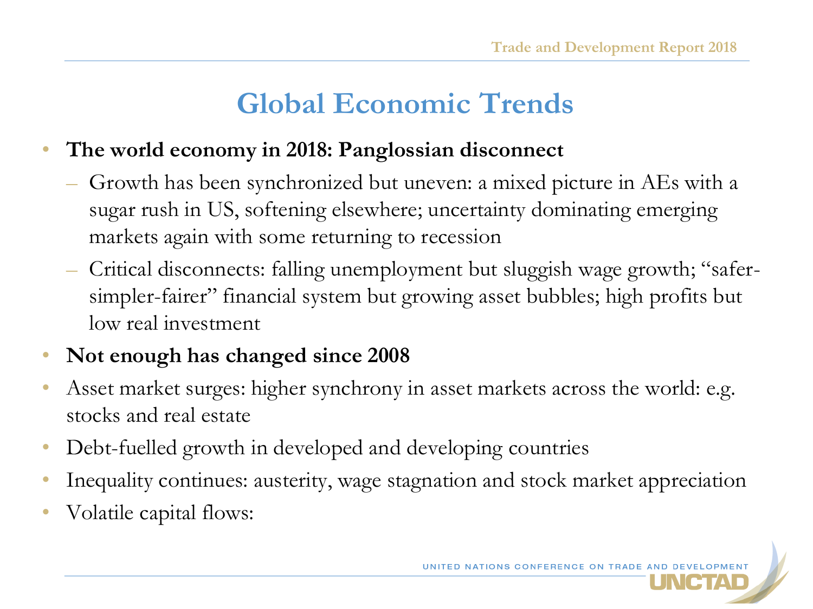# **Global Economic Trends**

### • **The world economy in 2018: Panglossian disconnect**

- Growth has been synchronized but uneven: a mixed picture in AEs with a sugar rush in US, softening elsewhere; uncertainty dominating emerging markets again with some returning to recession
- Critical disconnects: falling unemployment but sluggish wage growth; "safersimpler-fairer" financial system but growing asset bubbles; high profits but low real investment

### • **Not enough has changed since 2008**

- Asset market surges: higher synchrony in asset markets across the world: e.g. stocks and real estate
- Debt-fuelled growth in developed and developing countries
- Inequality continues: austerity, wage stagnation and stock market appreciation
- Volatile capital flows: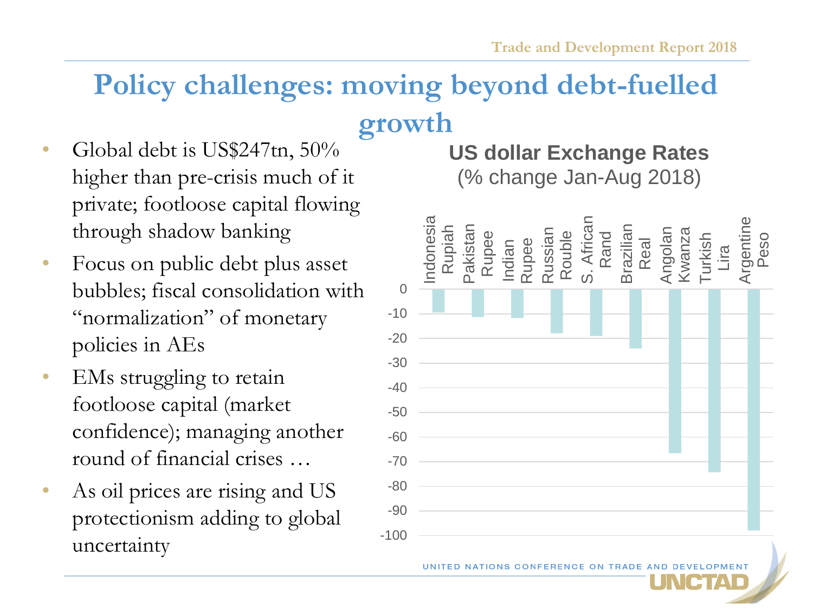# **Policy challenges: moving beyond debt-fuelled**

# **growth**

- Global debt is US\$247tn, 50% higher than pre-crisis much of it private; footloose capital flowing through shadow banking
- Focus on public debt plus asset bubbles; fiscal consolidation with "normalization" of monetary policies in AEs
- EMs struggling to retain footloose capital (market confidence); managing another round of financial crises …
- As oil prices are rising and US protectionism adding to global uncertainty

# **US dollar Exchange Rates**

(% change Jan-Aug 2018)



UNITED NATIONS CONFERENCE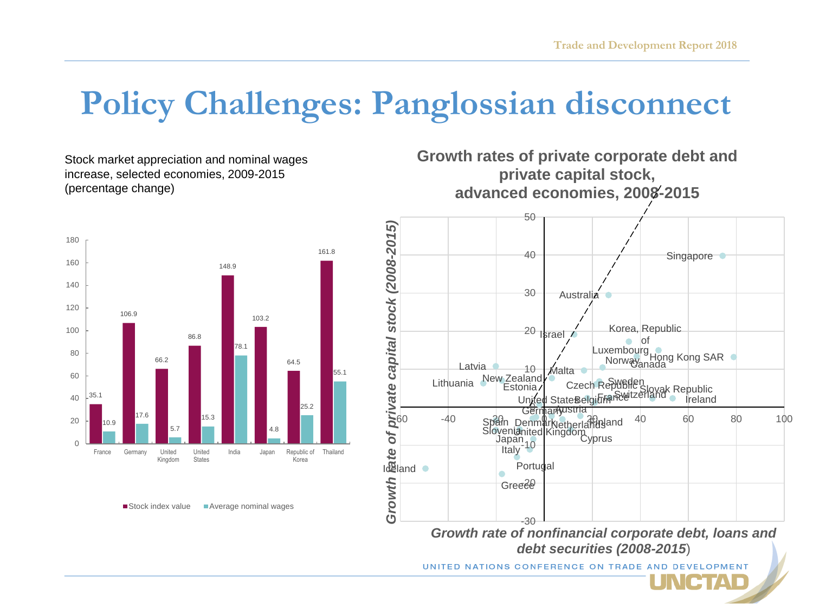# **Policy Challenges: Panglossian disconnect**

Stock market appreciation and nominal wages increase, selected economies, 2009-2015 (percentage change)







UNITED NATIONS CONFERENCE ON TRADE

CTAD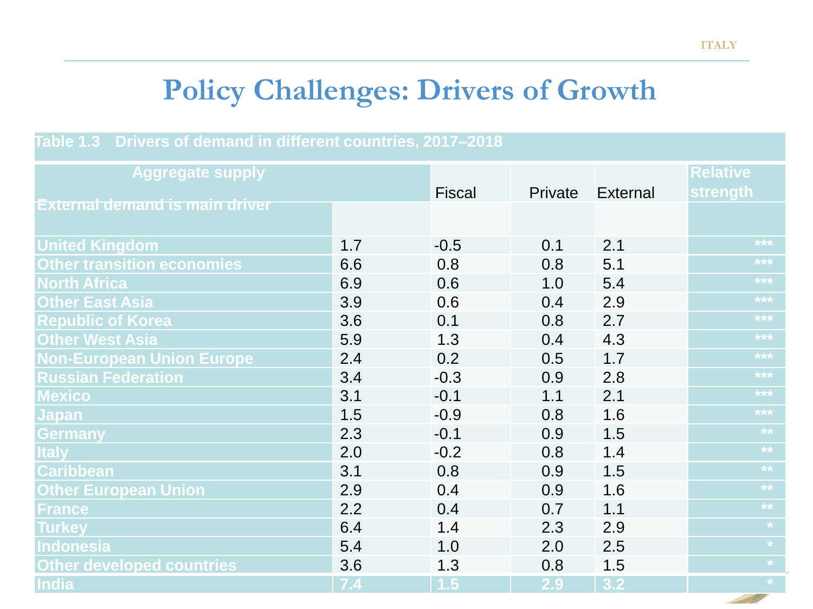# **Policy Challenges: Drivers of Growth**

#### **Table 1.3 Drivers of demand in different countries, 2017–2018**

| <b>Aggregate supply</b>               |     |                   |         |                 | <b>Relative</b>   |
|---------------------------------------|-----|-------------------|---------|-----------------|-------------------|
|                                       |     | <b>Fiscal</b>     | Private | <b>External</b> | strength          |
| <u>External demand is main driver</u> |     |                   |         |                 |                   |
| <b>United Kingdom</b>                 | 1.7 | $-0.5$            | 0.1     | 2.1             | ***               |
| <b>Other transition economies</b>     | 6.6 | 0.8               | 0.8     | 5.1             | $***$             |
| <b>North Africa</b>                   | 6.9 | 0.6               | 1.0     | 5.4             | $\star\star\star$ |
| <b>Other East Asia</b>                | 3.9 | 0.6               | 0.4     | 2.9             | $***$             |
| <b>Republic of Korea</b>              | 3.6 | 0.1               | 0.8     | 2.7             | $***$             |
| <b>Other West Asia</b>                | 5.9 | 1.3               | 0.4     | 4.3             | $***$             |
| <b>Non-European Union Europe</b>      | 2.4 | 0.2               | 0.5     | 1.7             | $\star\star\star$ |
| <b>Russian Federation</b>             | 3.4 | $-0.3$            | 0.9     | 2.8             | $***$             |
| <b>Mexico</b>                         | 3.1 | $-0.1$            | 1.1     | 2.1             | $***$             |
| <b>Japan</b>                          | 1.5 | $-0.9$            | 0.8     | 1.6             | $***$             |
| Germany                               | 2.3 | $-0.1$            | 0.9     | 1.5             | $\overline{**}$   |
| <b>Italy</b>                          | 2.0 | $-0.2$            | 0.8     | 1.4             | $\star\star$      |
| <b>Caribbean</b>                      | 3.1 | 0.8               | 0.9     | 1.5             | $\star\star$      |
| <b>Other European Union</b>           | 2.9 | 0.4               | 0.9     | 1.6             | $**$              |
| <b>France</b>                         | 2.2 | 0.4               | 0.7     | 1.1             | $\overline{**}$   |
| <b>Turkey</b>                         | 6.4 | 1.4               | 2.3     | 2.9             | $\star$           |
| Indonesia                             | 5.4 | 1.0               | 2.0     | 2.5             | $\star^-$         |
| <b>Other developed countries</b>      | 3.6 | 1.3               | 0.8     | 1.5             | $\star$           |
| India                                 | 7.4 | $\vert 1.5 \vert$ | 2.9     | 3.2             | $\star$           |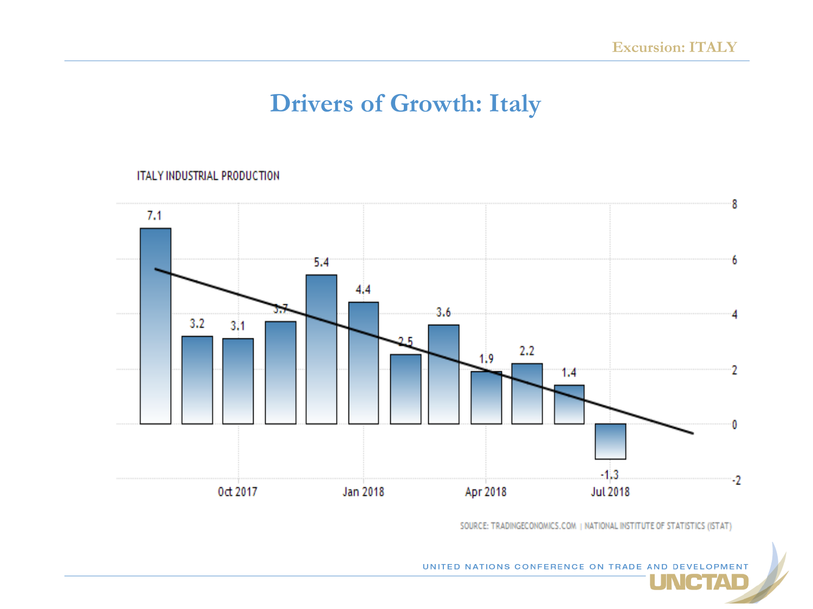## **Drivers of Growth: Italy**

#### **ITALY INDUSTRIAL PRODUCTION**



SOURCE: TRADINGECONOMICS.COM | NATIONAL INSTITUTE OF STATISTICS (ISTAT)

**NCTAD** 

UNITED NATIONS CONFERENCE ON TRADE AND DEVELOPMENT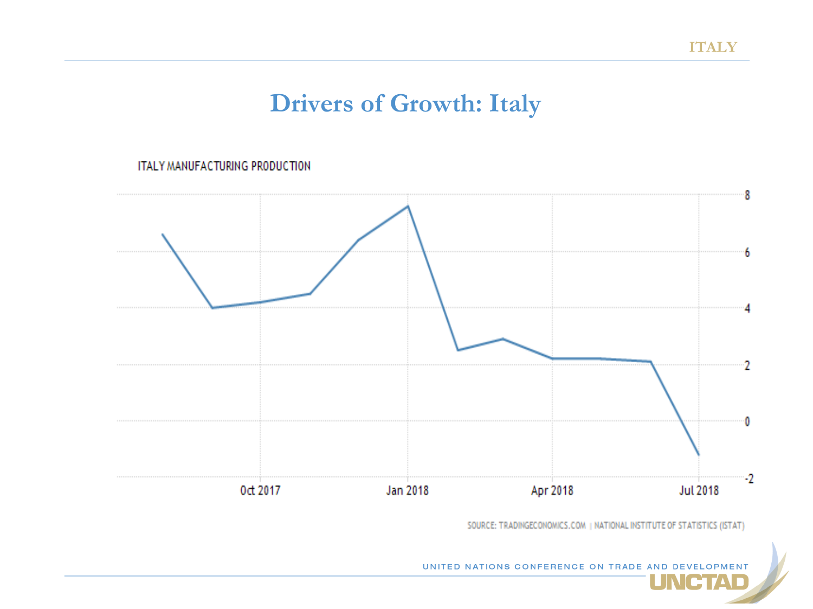## **Drivers of Growth: Italy**

**ITALY MANUFACTURING PRODUCTION** 



SOURCE: TRADINGECONOMICS.COM | NATIONAL INSTITUTE OF STATISTICS (ISTAT)

UNITED NATIONS CONFERENCE ON TRADE AND DEVELOPMENT **NCTAD**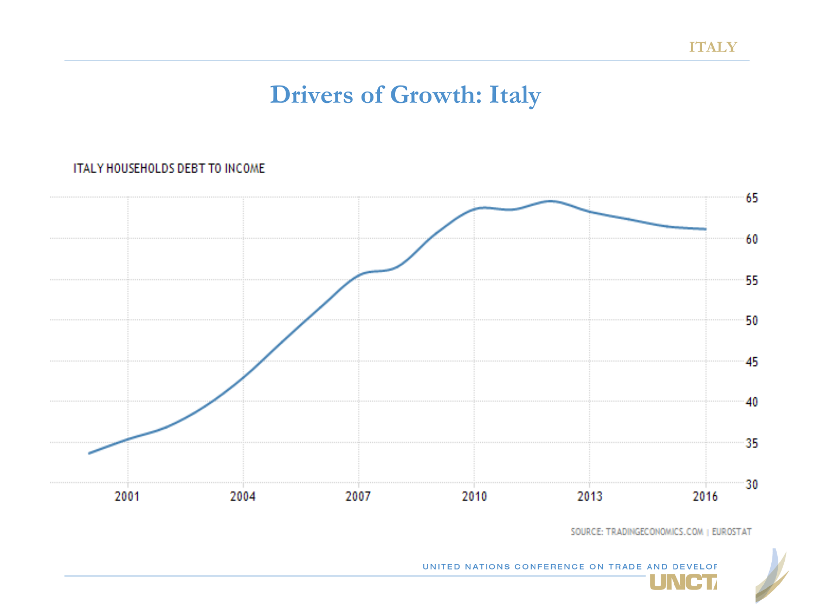## **Drivers of Growth: Italy**

#### ITALY HOUSEHOLDS DEBT TO INCOME



SOURCE: TRADINGECONOMICS.COM | EUROSTAT

UNCT

UNITED NATIONS CONFERENCE ON TRADE AND DEVELOF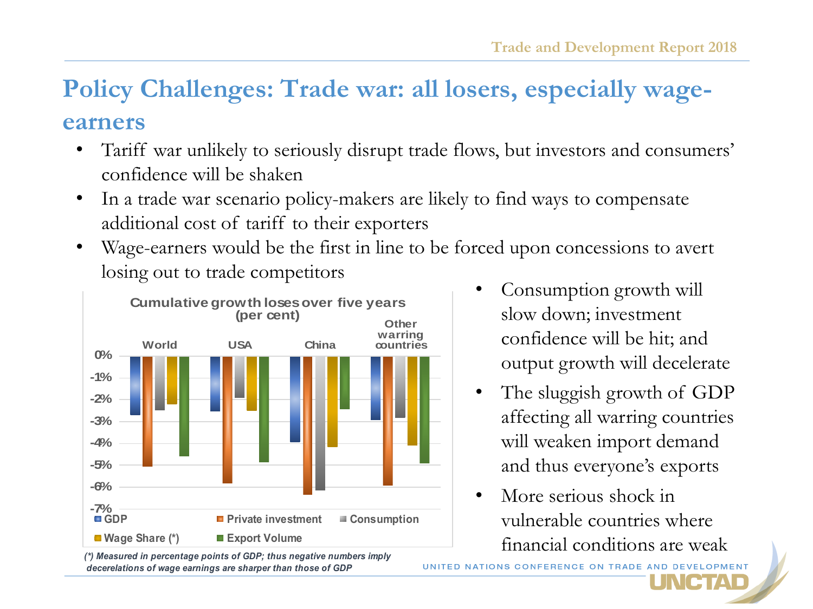### **Policy Challenges: Trade war: all losers, especially wageearners**

- Tariff war unlikely to seriously disrupt trade flows, but investors and consumers' confidence will be shaken
- In a trade war scenario policy-makers are likely to find ways to compensate additional cost of tariff to their exporters
- Wage-earners would be the first in line to be forced upon concessions to avert losing out to trade competitors



*(\*) Measured in percentage points of GDP; thus negative numbers imply decerelations of wage earnings are sharper than those of GDP*

- Consumption growth will slow down; investment confidence will be hit; and output growth will decelerate
- The sluggish growth of GDP affecting all warring countries will weaken import demand and thus everyone's exports
- More serious shock in vulnerable countries where financial conditions are weak

NGTAD

UNITED NATIONS CONFERENCE ON TRADE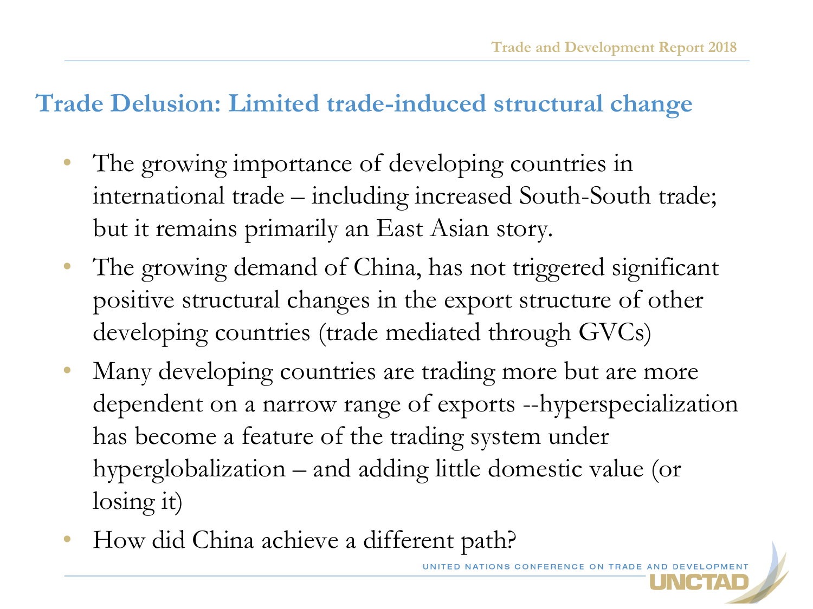### **Trade Delusion: Limited trade-induced structural change**

- The growing importance of developing countries in international trade – including increased South-South trade; but it remains primarily an East Asian story.
- The growing demand of China, has not triggered significant positive structural changes in the export structure of other developing countries (trade mediated through GVCs)
- Many developing countries are trading more but are more dependent on a narrow range of exports --hyperspecialization has become a feature of the trading system under hyperglobalization – and adding little domestic value (or losing it)
- How did China achieve a different path?

UNITED NATIONS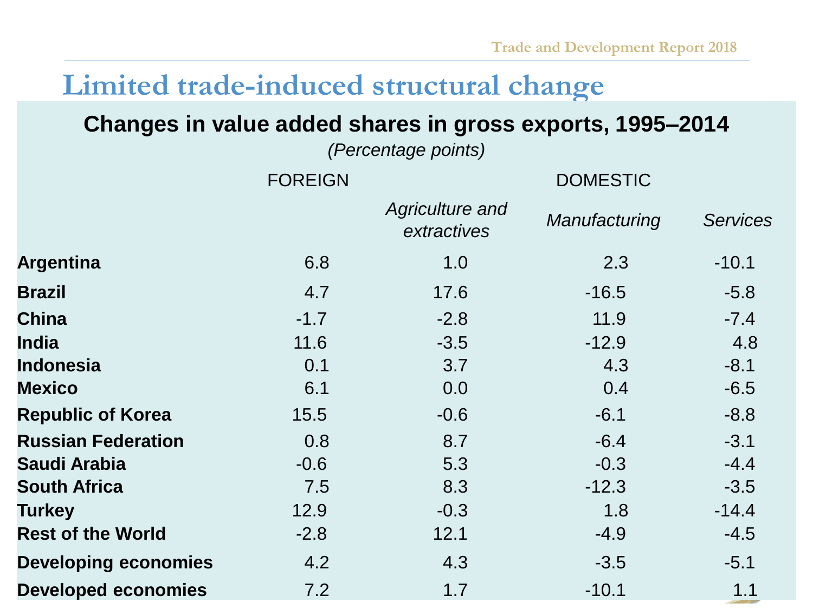# **Limited trade-induced structural change**

### **Changes in value added shares in gross exports, 1995–2014**

*(Percentage points)*

| <b>FOREIGN</b> |                                | <b>DOMESTIC</b> |                 |  |  |
|----------------|--------------------------------|-----------------|-----------------|--|--|
|                | Agriculture and<br>extractives | Manufacturing   | <b>Services</b> |  |  |
| 6.8            | 1.0                            | 2.3             | $-10.1$         |  |  |
| 4.7            | 17.6                           | $-16.5$         | $-5.8$          |  |  |
| $-1.7$         | $-2.8$                         | 11.9            | $-7.4$          |  |  |
| 11.6           | $-3.5$                         | $-12.9$         | 4.8             |  |  |
| 0.1            | 3.7                            | 4.3             | $-8.1$          |  |  |
| 6.1            | 0.0                            | 0.4             | $-6.5$          |  |  |
| 15.5           | $-0.6$                         | $-6.1$          | $-8.8$          |  |  |
| 0.8            | 8.7                            | $-6.4$          | $-3.1$          |  |  |
| $-0.6$         | 5.3                            | $-0.3$          | $-4.4$          |  |  |
| 7.5            | 8.3                            | $-12.3$         | $-3.5$          |  |  |
| 12.9           | $-0.3$                         | 1.8             | $-14.4$         |  |  |
| $-2.8$         | 12.1                           | $-4.9$          | $-4.5$          |  |  |
| 4.2            | 4.3                            | $-3.5$          | $-5.1$          |  |  |
| 7.2            | 1.7                            | $-10.1$         | 1.1             |  |  |
|                |                                |                 |                 |  |  |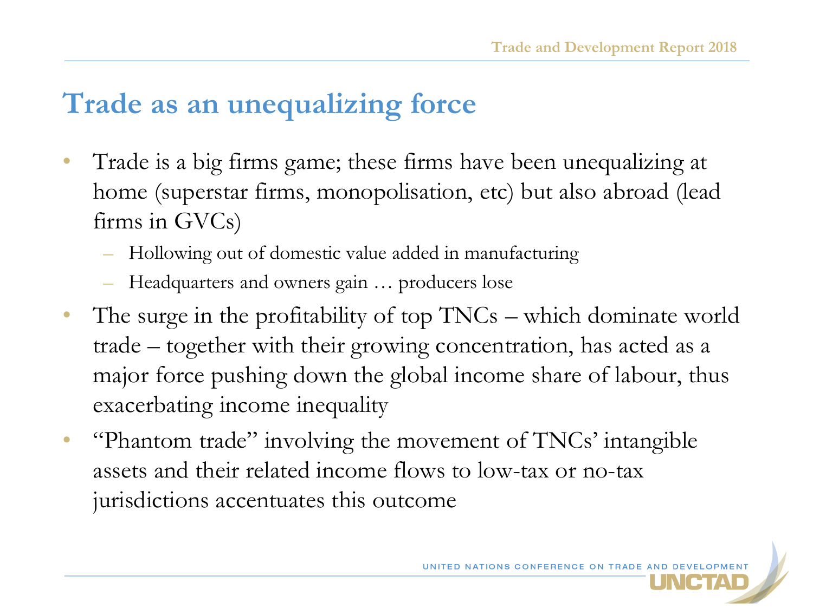# **Trade as an unequalizing force**

- Trade is a big firms game; these firms have been unequalizing at home (superstar firms, monopolisation, etc) but also abroad (lead firms in GVCs)
	- Hollowing out of domestic value added in manufacturing
	- Headquarters and owners gain … producers lose
- The surge in the profitability of top TNCs which dominate world trade – together with their growing concentration, has acted as a major force pushing down the global income share of labour, thus exacerbating income inequality
- "Phantom trade" involving the movement of TNCs' intangible assets and their related income flows to low-tax or no-tax jurisdictions accentuates this outcome

UNITED NATIONS CONFERENCE ON TRADE A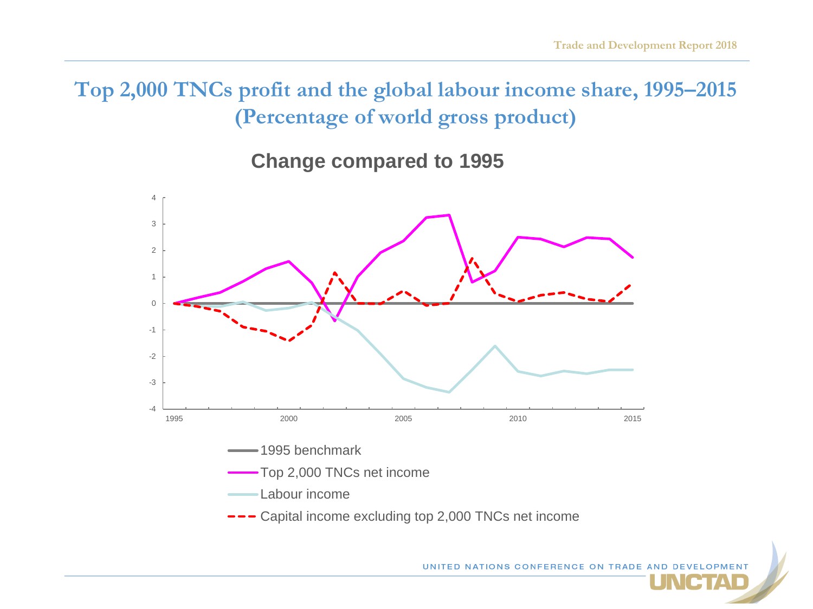**Top 2,000 TNCs profit and the global labour income share, 1995–2015 (Percentage of world gross product)**

**Change compared to 1995** 



UNITED NATIONS CONFERENCE ON TRADE A

FITALD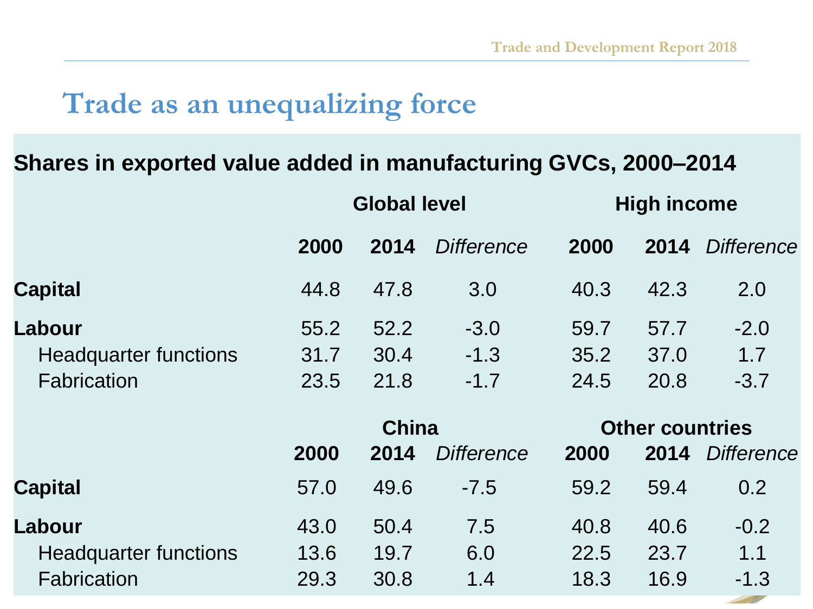# **Trade as an unequalizing force**

### **Shares in exported value added in manufacturing GVCs, 2000–2014**

|                              | <b>Global level</b> |      |                   | <b>High income</b>     |      |                   |
|------------------------------|---------------------|------|-------------------|------------------------|------|-------------------|
|                              | 2000                | 2014 | <b>Difference</b> | 2000                   | 2014 | <b>Difference</b> |
| <b>Capital</b>               | 44.8                | 47.8 | 3.0               | 40.3                   | 42.3 | 2.0               |
| Labour                       | 55.2                | 52.2 | $-3.0$            | 59.7                   | 57.7 | $-2.0$            |
| <b>Headquarter functions</b> | 31.7                | 30.4 | $-1.3$            | 35.2                   | 37.0 | 1.7               |
| Fabrication                  | 23.5                | 21.8 | $-1.7$            | 24.5                   | 20.8 | $-3.7$            |
|                              | <b>China</b>        |      |                   | <b>Other countries</b> |      |                   |
|                              | 2000                | 2014 | <b>Difference</b> | 2000                   | 2014 | <b>Difference</b> |
| <b>Capital</b>               | 57.0                | 49.6 | $-7.5$            | 59.2                   | 59.4 | 0.2               |
| Labour                       | 43.0                | 50.4 | 7.5               | 40.8                   | 40.6 | $-0.2$            |
| <b>Headquarter functions</b> | 13.6                | 19.7 | 6.0               | 22.5                   | 23.7 | 1.1               |
| Fabrication                  | 29.3                | 30.8 | 1.4               | 18.3                   | 16.9 | $-1.3$            |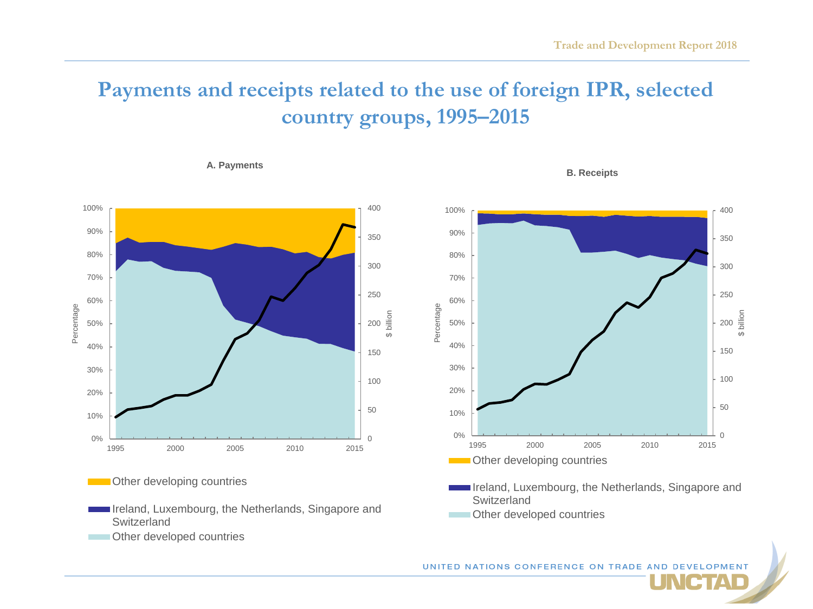### **Payments and receipts related to the use of foreign IPR, selected country groups, 1995–2015**

#### **A. Payments**



**Constructed Countries** 





Ireland, Luxembourg, the Netherlands, Singapore and Switzerland

CTAD

Other developed countries

UNITED NATIONS CONFERENCE ON TRADE AND DEVELOPMENT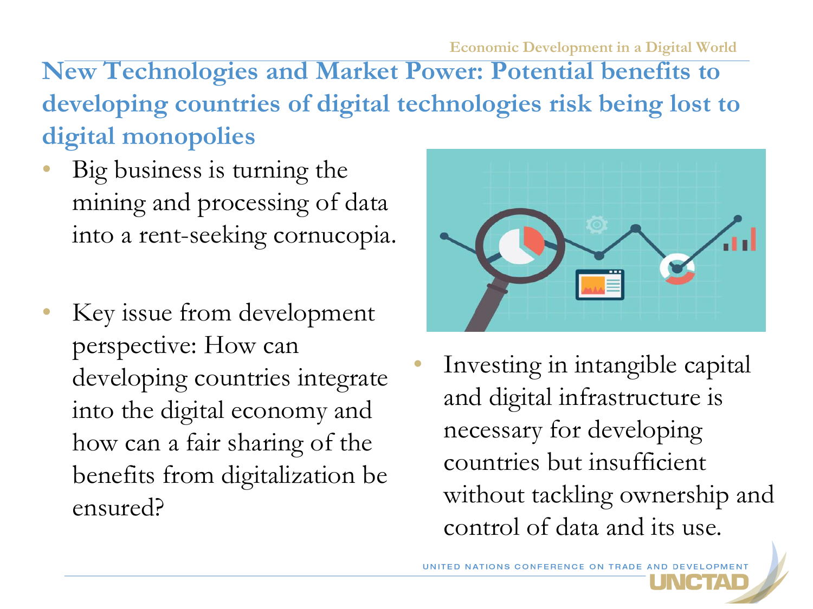**Economic Development in a Digital World**

**New Technologies and Market Power: Potential benefits to developing countries of digital technologies risk being lost to digital monopolies**

- Big business is turning the mining and processing of data into a rent-seeking cornucopia.
- Key issue from development perspective: How can developing countries integrate into the digital economy and how can a fair sharing of the benefits from digitalization be ensured?



Investing in intangible capital and digital infrastructure is necessary for developing countries but insufficient without tackling ownership and control of data and its use.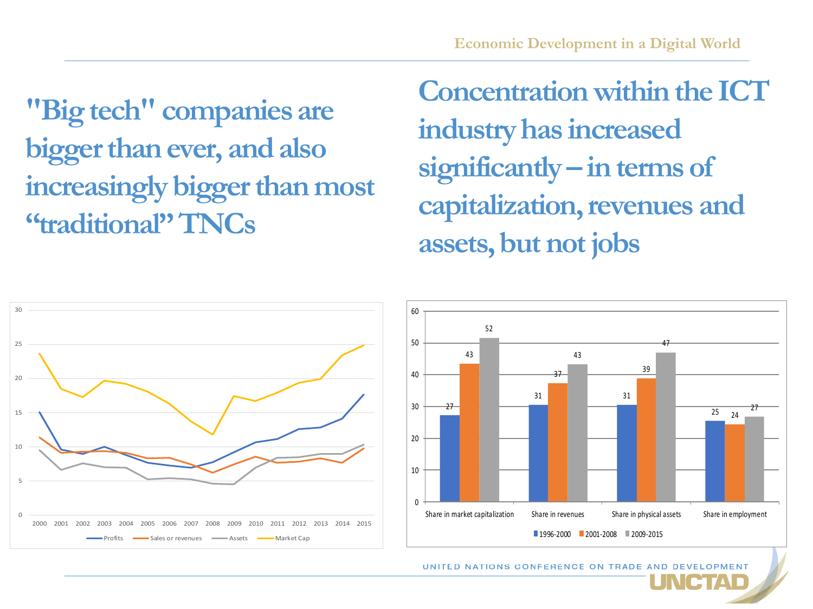**"Big tech" companies are bigger than ever, and also increasingly bigger than most "traditional" TNCs**

**Concentration within the ICT industry has increased significantly – in terms of capitalization, revenues and assets, but not jobs**



*UNITED NATIONS CONFERENCE ON TRADE*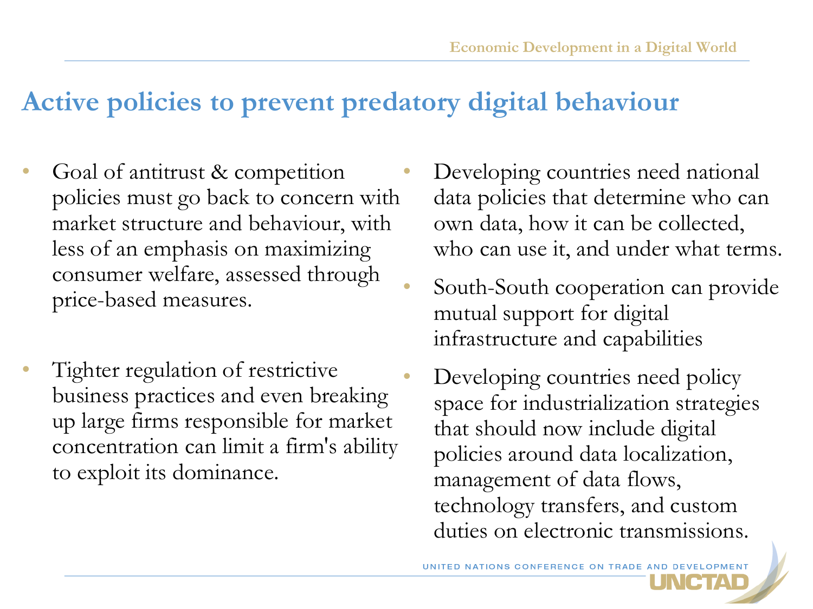# **Active policies to prevent predatory digital behaviour**

- Goal of antitrust & competition policies must go back to concern with market structure and behaviour, with less of an emphasis on maximizing consumer welfare, assessed through price-based measures.
- Tighter regulation of restrictive business practices and even breaking up large firms responsible for market concentration can limit a firm's ability to exploit its dominance.
- Developing countries need national data policies that determine who can own data, how it can be collected, who can use it, and under what terms.
- South-South cooperation can provide mutual support for digital infrastructure and capabilities
- Developing countries need policy space for industrialization strategies that should now include digital policies around data localization, management of data flows, technology transfers, and custom duties on electronic transmissions.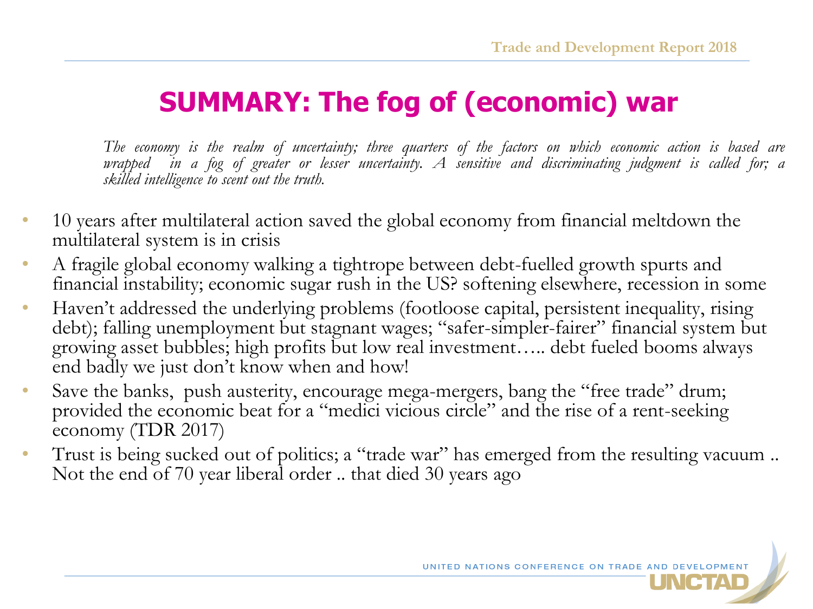# **SUMMARY: The fog of (economic) war**

The economy is the realm of uncertainty; three quarters of the factors on which economic action is based are wrapped in a fog of greater or lesser uncertainty. A sensitive and discriminating judgment is called for; a *skilled intelligence to scent out the truth.*

- 10 years after multilateral action saved the global economy from financial meltdown the multilateral system is in crisis
- A fragile global economy walking a tightrope between debt-fuelled growth spurts and financial instability; economic sugar rush in the US? softening elsewhere, recession in some
- Haven't addressed the underlying problems (footloose capital, persistent inequality, rising debt); falling unemployment but stagnant wages; "safer-simpler-fairer" financial system but growing asset bubbles; high profits but low real investment….. debt fueled booms always end badly we just don't know when and how!
- Save the banks, push austerity, encourage mega-mergers, bang the "free trade" drum; provided the economic beat for a "medici vicious circle" and the rise of a rent-seeking economy (TDR 2017)
- Trust is being sucked out of politics; a "trade war" has emerged from the resulting vacuum .. Not the end of 70 year liberal order .. that died 30 years ago

UNITED NATIONS CONFERENCE ON TRADE AND DEVEL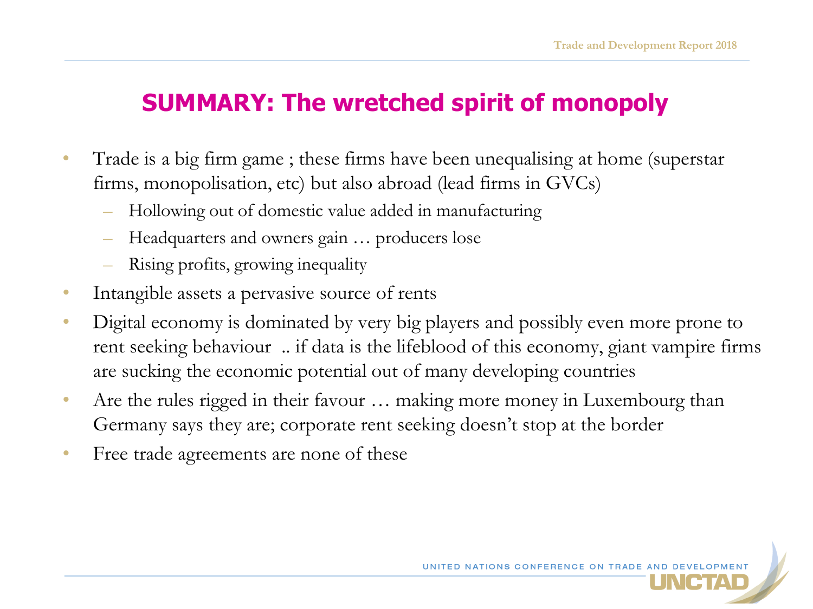### **SUMMARY: The wretched spirit of monopoly**

- Trade is a big firm game ; these firms have been unequalising at home (superstar firms, monopolisation, etc) but also abroad (lead firms in GVCs)
	- Hollowing out of domestic value added in manufacturing
	- Headquarters and owners gain … producers lose
	- Rising profits, growing inequality
- Intangible assets a pervasive source of rents
- Digital economy is dominated by very big players and possibly even more prone to rent seeking behaviour .. if data is the lifeblood of this economy, giant vampire firms are sucking the economic potential out of many developing countries
- Are the rules rigged in their favour ... making more money in Luxembourg than Germany says they are; corporate rent seeking doesn't stop at the border
- Free trade agreements are none of these

UNITED NATIONS CONFERENCE ON TRADE A